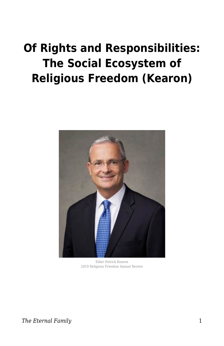# **Of Rights and Responsibilities: The Social Ecosystem of Religious Freedom (Kearon)**



Elder Patrick Kearon 2019 Religious Freedom Annual Review

**The Eternal Family** 1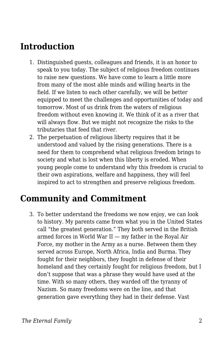# **Introduction**

- 1. Distinguished guests, colleagues and friends, it is an honor to speak to you today. The subject of religious freedom continues to raise new questions. We have come to learn a little more from many of the most able minds and willing hearts in the field. If we listen to each other carefully, we will be better equipped to meet the challenges and opportunities of today and tomorrow. Most of us drink from the waters of religious freedom without even knowing it. We think of it as a river that will always flow. But we might not recognize the risks to the tributaries that feed that river.
- 2. The perpetuation of religious liberty requires that it be understood and valued by the rising generations. There is a need for them to comprehend what religious freedom brings to society and what is lost when this liberty is eroded. When young people come to understand why this freedom is crucial to their own aspirations, welfare and happiness, they will feel inspired to act to strengthen and preserve religious freedom.

#### **Community and Commitment**

3. To better understand the freedoms we now enjoy, we can look to history. My parents came from what you in the United States call "the greatest generation." They both served in the British armed forces in World War II — my father in the Royal Air Force, my mother in the Army as a nurse. Between them they served across Europe, North Africa, India and Burma. They fought for their neighbors, they fought in defense of their homeland and they certainly fought for religious freedom, but I don't suppose that was a phrase they would have used at the time. With so many others, they warded off the tyranny of Nazism. So many freedoms were on the line, and that generation gave everything they had in their defense. Vast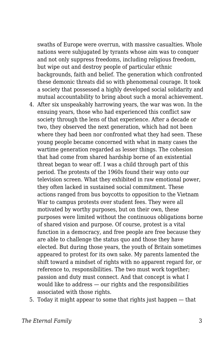swaths of Europe were overrun, with massive casualties. Whole nations were subjugated by tyrants whose aim was to conquer and not only suppress freedoms, including religious freedom, but wipe out and destroy people of particular ethnic backgrounds, faith and belief. The generation which confronted these demonic threats did so with phenomenal courage. It took a society that possessed a highly developed social solidarity and mutual accountability to bring about such a moral achievement.

- 4. After six unspeakably harrowing years, the war was won. In the ensuing years, those who had experienced this conflict saw society through the lens of that experience. After a decade or two, they observed the next generation, which had not been where they had been nor confronted what they had seen. These young people became concerned with what in many cases the wartime generation regarded as lesser things. The cohesion that had come from shared hardship borne of an existential threat began to wear off. I was a child through part of this period. The protests of the 1960s found their way onto our television screen. What they exhibited in raw emotional power, they often lacked in sustained social commitment. These actions ranged from bus boycotts to opposition to the Vietnam War to campus protests over student fees. They were all motivated by worthy purposes, but on their own, these purposes were limited without the continuous obligations borne of shared vision and purpose. Of course, protest is a vital function in a democracy, and free people are free because they are able to challenge the status quo and those they have elected. But during those years, the youth of Britain sometimes appeared to protest for its own sake. My parents lamented the shift toward a mindset of rights with no apparent regard for, or reference to, responsibilities. The two must work together; passion and duty must connect. And that concept is what I would like to address — our rights and the responsibilities associated with those rights.
- 5. Today it might appear to some that rights just happen that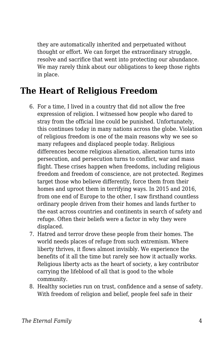they are automatically inherited and perpetuated without thought or effort. We can forget the extraordinary struggle, resolve and sacrifice that went into protecting our abundance. We may rarely think about our obligations to keep those rights in place.

## **The Heart of Religious Freedom**

- 6. For a time, I lived in a country that did not allow the free expression of religion. I witnessed how people who dared to stray from the official line could be punished. Unfortunately, this continues today in many nations across the globe. Violation of religious freedom is one of the main reasons why we see so many refugees and displaced people today. Religious differences become religious alienation, alienation turns into persecution, and persecution turns to conflict, war and mass flight. These crises happen when freedoms, including religious freedom and freedom of conscience, are not protected. Regimes target those who believe differently, force them from their homes and uproot them in terrifying ways. In 2015 and 2016, from one end of Europe to the other, I saw firsthand countless ordinary people driven from their homes and lands further to the east across countries and continents in search of safety and refuge. Often their beliefs were a factor in why they were displaced.
- 7. Hatred and terror drove these people from their homes. The world needs places of refuge from such extremism. Where liberty thrives, it flows almost invisibly. We experience the benefits of it all the time but rarely see how it actually works. Religious liberty acts as the heart of society, a key contributor carrying the lifeblood of all that is good to the whole community.
- 8. Healthy societies run on trust, confidence and a sense of safety. With freedom of religion and belief, people feel safe in their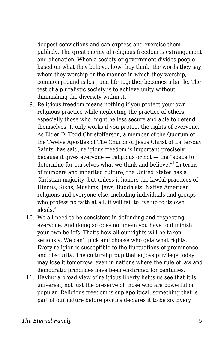deepest convictions and can express and exercise them publicly. The great enemy of religious freedom is estrangement and alienation. When a society or government divides people based on what they believe, how they think, the words they say, whom they worship or the manner in which they worship, common ground is lost, and life together becomes a battle. The test of a pluralistic society is to achieve unity without diminishing the diversity within it.

- 9. Religious freedom means nothing if you protect your own religious practice while neglecting the practice of others, especially those who might be less secure and able to defend themselves. It only works if you protect the rights of everyone. As Elder D. Todd Christofferson, a member of the Quorum of the Twelve Apostles of The Church of Jesus Christ of Latter-day Saints, has said, religious freedom is important precisely because it gives everyone — religious or not — the "space to determine for ourselves what we think and believe."<sup>1</sup> In terms of numbers and inherited culture, the United States has a Christian majority, but unless it honors the lawful practices of Hindus, Sikhs, Muslims, Jews, Buddhists, Native American religions and everyone else, including individuals and groups who profess no faith at all, it will fail to live up to its own ideals. $<sup>2</sup>$ </sup>
- 10. We all need to be consistent in defending and respecting everyone. And doing so does not mean you have to diminish your own beliefs. That's how all our rights will be taken seriously. We can't pick and choose who gets what rights. Every religion is susceptible to the fluctuations of prominence and obscurity. The cultural group that enjoys privilege today may lose it tomorrow, even in nations where the rule of law and democratic principles have been enshrined for centuries.
- 11. Having a broad view of religious liberty helps us see that it is universal, not just the preserve of those who are powerful or popular. Religious freedom is sup apolitical, something that is part of our nature before politics declares it to be so. Every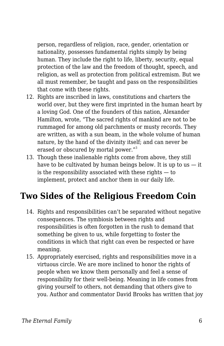person, regardless of religion, race, gender, orientation or nationality, possesses fundamental rights simply by being human. They include the right to life, liberty, security, equal protection of the law and the freedom of thought, speech, and religion, as well as protection from political extremism. But we all must remember, be taught and pass on the responsibilities that come with these rights.

- 12. Rights are inscribed in laws, constitutions and charters the world over, but they were first imprinted in the human heart by a loving God. One of the founders of this nation, Alexander Hamilton, wrote, "The sacred rights of mankind are not to be rummaged for among old parchments or musty records. They are written, as with a sun beam, in the whole volume of human nature, by the hand of the divinity itself; and can never be erased or obscured by mortal power."<sup>3</sup>
- 13. Though these inalienable rights come from above, they still have to be cultivated by human beings below. It is up to us  $-$  it is the responsibility associated with these rights — to implement, protect and anchor them in our daily life.

# **Two Sides of the Religious Freedom Coin**

- 14. Rights and responsibilities can't be separated without negative consequences. The symbiosis between rights and responsibilities is often forgotten in the rush to demand that something be given to us, while forgetting to foster the conditions in which that right can even be respected or have meaning.
- 15. Appropriately exercised, rights and responsibilities move in a virtuous circle. We are more inclined to honor the rights of people when we know them personally and feel a sense of responsibility for their well-being. Meaning in life comes from giving yourself to others, not demanding that others give to you. Author and commentator David Brooks has written that joy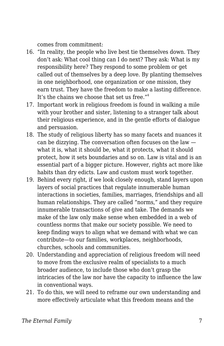comes from commitment:

- 16. "In reality, the people who live best tie themselves down. They don't ask: What cool thing can I do next? They ask: What is my responsibility here? They respond to some problem or get called out of themselves by a deep love. By planting themselves in one neighborhood, one organization or one mission, they earn trust. They have the freedom to make a lasting difference. It's the chains we choose that set us free."<sup>4</sup>
- 17. Important work in religious freedom is found in walking a mile with your brother and sister, listening to a stranger talk about their religious experience, and in the gentle efforts of dialogue and persuasion.
- 18. The study of religious liberty has so many facets and nuances it can be dizzying. The conversation often focuses on the law what it is, what it should be, what it protects, what it should protect, how it sets boundaries and so on. Law is vital and is an essential part of a bigger picture. However, rights act more like habits than dry edicts. Law and custom must work together.
- 19. Behind every right, if we look closely enough, stand layers upon layers of social practices that regulate innumerable human interactions in societies, families, marriages, friendships and all human relationships. They are called "norms," and they require innumerable transactions of give and take. The demands we make of the law only make sense when embedded in a web of countless norms that make our society possible. We need to keep finding ways to align what we demand with what we can contribute—to our families, workplaces, neighborhoods, churches, schools and communities.
- 20. Understanding and appreciation of religious freedom will need to move from the exclusive realm of specialists to a much broader audience, to include those who don't grasp the intricacies of the law nor have the capacity to influence the law in conventional ways.
- 21. To do this, we will need to reframe our own understanding and more effectively articulate what this freedom means and the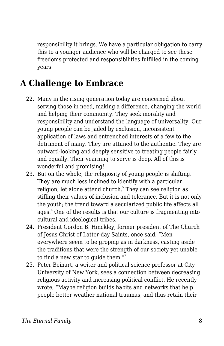responsibility it brings. We have a particular obligation to carry this to a younger audience who will be charged to see these freedoms protected and responsibilities fulfilled in the coming years.

# **A Challenge to Embrace**

- 22. Many in the rising generation today are concerned about serving those in need, making a difference, changing the world and helping their community. They seek morality and responsibility and understand the language of universality. Our young people can be jaded by exclusion, inconsistent application of laws and entrenched interests of a few to the detriment of many. They are attuned to the authentic. They are outward-looking and deeply sensitive to treating people fairly and equally. Their yearning to serve is deep. All of this is wonderful and promising!
- 23. But on the whole, the religiosity of young people is shifting. They are much less inclined to identify with a particular religion, let alone attend church.<sup>5</sup> They can see religion as stifling their values of inclusion and tolerance. But it is not only the youth; the trend toward a secularized public life affects all ages.<sup>6</sup> One of the results is that our culture is fragmenting into cultural and ideological tribes.
- 24. President Gordon B. Hinckley, former president of The Church of Jesus Christ of Latter-day Saints, once said, "Men everywhere seem to be groping as in darkness, casting aside the traditions that were the strength of our society yet unable to find a new star to guide them."<sup>7</sup>
- 25. Peter Beinart, a writer and political science professor at City University of New York, sees a connection between decreasing religious activity and increasing political conflict. He recently wrote, "Maybe religion builds habits and networks that help people better weather national traumas, and thus retain their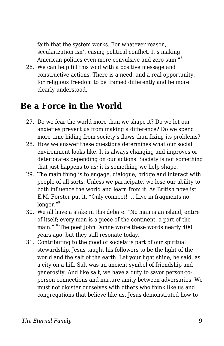faith that the system works. For whatever reason, secularization isn't easing political conflict. It's making American politics even more convulsive and zero-sum."<sup>8</sup>

26. We can help fill this void with a positive message and constructive actions. There is a need, and a real opportunity, for religious freedom to be framed differently and be more clearly understood.

#### **Be a Force in the World**

- 27. Do we fear the world more than we shape it? Do we let our anxieties prevent us from making a difference? Do we spend more time hiding from society's flaws than fixing its problems?
- 28. How we answer these questions determines what our social environment looks like. It is always changing and improves or deteriorates depending on our actions. Society is not something that just happens to us; it is something we help shape.
- 29. The main thing is to engage, dialogue, bridge and interact with people of all sorts. Unless we participate, we lose our ability to both influence the world and learn from it. As British novelist E.M. Forster put it, "Only connect! … Live in fragments no longer."<sup>9</sup>
- 30. We all have a stake in this debate. "No man is an island, entire of itself; every man is a piece of the continent, a part of the main."<sup>10</sup> The poet John Donne wrote these words nearly 400 years ago, but they still resonate today.
- 31. Contributing to the good of society is part of our spiritual stewardship. Jesus taught his followers to be the light of the world and the salt of the earth. Let your light shine, he said, as a city on a hill. Salt was an ancient symbol of friendship and generosity. And like salt, we have a duty to savor person-toperson connections and nurture amity between adversaries. We must not cloister ourselves with others who think like us and congregations that believe like us. Jesus demonstrated how to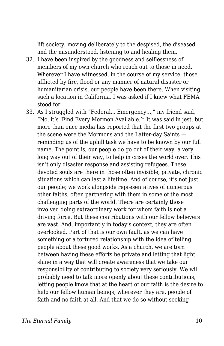lift society, moving deliberately to the despised, the diseased and the misunderstood, listening to and healing them.

- 32. I have been inspired by the goodness and selflessness of members of my own church who reach out to those in need. Wherever I have witnessed, in the course of my service, those afflicted by fire, flood or any manner of natural disaster or humanitarian crisis, our people have been there. When visiting such a location in California, I was asked if I knew what FEMA stood for.
- 33. As I struggled with "Federal... Emergency...," my friend said, "No, it's 'Find Every Mormon Available.'" It was said in jest, but more than once media has reported that the first two groups at the scene were the Mormons and the Latter-day Saints reminding us of the uphill task we have to be known by our full name. The point is, our people do go out of their way, a very long way out of their way, to help in crises the world over. This isn't only disaster response and assisting refugees. These devoted souls are there in those often invisible, private, chronic situations which can last a lifetime. And of course, it's not just our people; we work alongside representatives of numerous other faiths, often partnering with them in some of the most challenging parts of the world. There are certainly those involved doing extraordinary work for whom faith is not a driving force. But these contributions with our fellow believers are vast. And, importantly in today's context, they are often overlooked. Part of that is our own fault, as we can have something of a tortured relationship with the idea of telling people about these good works. As a church, we are torn between having these efforts be private and letting that light shine in a way that will create awareness that we take our responsibility of contributing to society very seriously. We will probably need to talk more openly about these contributions, letting people know that at the heart of our faith is the desire to help our fellow human beings, wherever they are, people of faith and no faith at all. And that we do so without seeking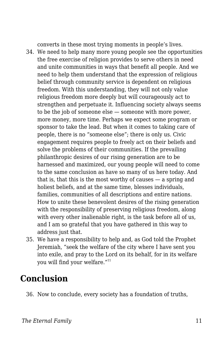converts in these most trying moments in people's lives.

- 34. We need to help many more young people see the opportunities the free exercise of religion provides to serve others in need and unite communities in ways that benefit all people. And we need to help them understand that the expression of religious belief through community service is dependent on religious freedom. With this understanding, they will not only value religious freedom more deeply but will courageously act to strengthen and perpetuate it. Influencing society always seems to be the job of someone else — someone with more power, more money, more time. Perhaps we expect some program or sponsor to take the lead. But when it comes to taking care of people, there is no "someone else"; there is only us. Civic engagement requires people to freely act on their beliefs and solve the problems of their communities. If the prevailing philanthropic desires of our rising generation are to be harnessed and maximized, our young people will need to come to the same conclusion as have so many of us here today. And that is, that this is the most worthy of causes — a spring and holiest beliefs, and at the same time, blesses individuals, families, communities of all descriptions and entire nations. How to unite these benevolent desires of the rising generation with the responsibility of preserving religious freedom, along with every other inalienable right, is the task before all of us, and I am so grateful that you have gathered in this way to address just that.
- 35. We have a responsibility to help and, as God told the Prophet Jeremiah, "seek the welfare of the city where I have sent you into exile, and pray to the Lord on its behalf, for in its welfare you will find your welfare."<sup>11</sup>

## **Conclusion**

36. Now to conclude, every society has a foundation of truths,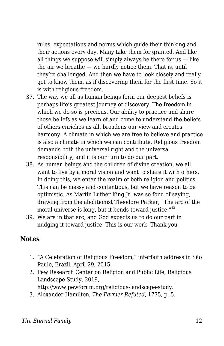rules, expectations and norms which guide their thinking and their actions every day. Many take them for granted. And like all things we suppose will simply always be there for  $us$  — like the air we breathe — we hardly notice them. That is, until they're challenged. And then we have to look closely and really get to know them, as if discovering them for the first time. So it is with religious freedom.

- 37. The way we all as human beings form our deepest beliefs is perhaps life's greatest journey of discovery. The freedom in which we do so is precious. Our ability to practice and share those beliefs as we learn of and come to understand the beliefs of others enriches us all, broadens our view and creates harmony. A climate in which we are free to believe and practice is also a climate in which we can contribute. Religious freedom demands both the universal right and the universal responsibility, and it is our turn to do our part.
- 38. As human beings and the children of divine creation, we all want to live by a moral vision and want to share it with others. In doing this, we enter the realm of both religion and politics. This can be messy and contentious, but we have reason to be optimistic. As Martin Luther King Jr. was so fond of saying, drawing from the abolitionist Theodore Parker, "The arc of the moral universe is long, but it bends toward justice. $12$
- 39. We are in that arc, and God expects us to do our part in nudging it toward justice. This is our work. Thank you.

#### **Notes**

- 1. "A Celebration of Religious Freedom," interfaith address in São Paulo, Brazil, April 29, 2015.
- 2. Pew Research Center on Religion and Public Life, Religious Landscape Study, 2019, http://www.pewforum.org/religious-landscape-study.
- 3. Alexander Hamilton, *The Farmer Refuted*, 1775, p. 5.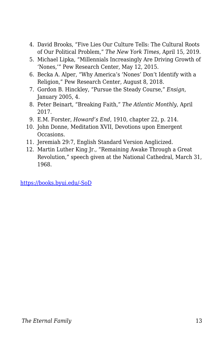- 4. David Brooks, "Five Lies Our Culture Tells: The Cultural Roots of Our Political Problem," *The New York Times*, April 15, 2019.
- 5. Michael Lipka, "Millennials Increasingly Are Driving Growth of 'Nones,'" Pew Research Center, May 12, 2015.
- 6. Becka A. Alper, "Why America's 'Nones' Don't Identify with a Religion," Pew Research Center, August 8, 2018.
- 7. Gordon B. Hinckley, "Pursue the Steady Course," *Ensign*, January 2005, 4.
- 8. Peter Beinart, "Breaking Faith," *The Atlantic Monthly*, April 2017.
- 9. E.M. Forster, *Howard's End*, 1910, chapter 22, p. 214.
- 10. John Donne, Meditation XVII, Devotions upon Emergent Occasions.
- 11. Jeremiah 29:7, English Standard Version Anglicized.
- 12. Martin Luther King Jr., "Remaining Awake Through a Great Revolution," speech given at the National Cathedral, March 31, 1968.

[https://books.byui.edu/-SoD](https://newsroom.churchofjesuschrist.org/article/transcript-elder-kearon-religious-freedom-byu-2019)